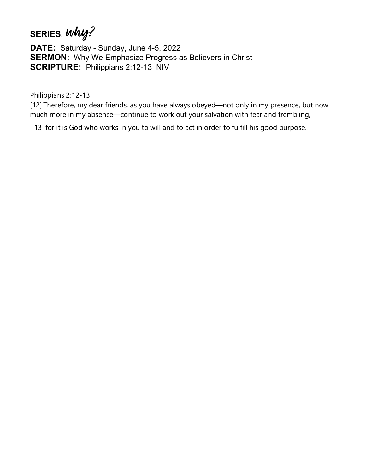## **SERIES**: **why?**

**DATE:** Saturday - Sunday, June 4-5, 2022 **SERMON:** Why We Emphasize Progress as Believers in Christ **SCRIPTURE:** Philippians 2:12-13 NIV

Philippians 2:12-13

[12] Therefore, my dear friends, as you have always obeyed—not only in my presence, but now much more in my absence—continue to work out your salvation with fear and trembling,

[13] for it is God who works in you to will and to act in order to fulfill his good purpose.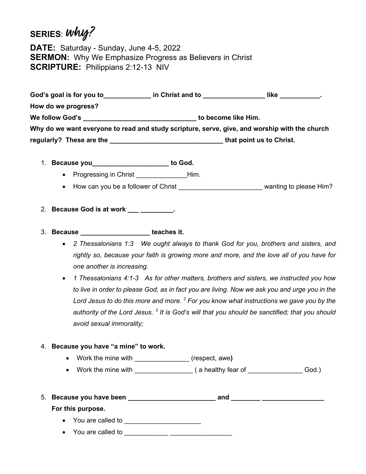## **SERIES**: **why?**

**DATE:** Saturday - Sunday, June 4-5, 2022 **SERMON:** Why We Emphasize Progress as Believers in Christ **SCRIPTURE:** Philippians 2:12-13 NIV

**God's goal is for you to\_\_\_\_\_\_\_\_\_\_\_\_\_ in Christ and to \_\_\_\_\_\_\_\_\_\_\_\_\_\_\_\_\_ like \_\_\_\_\_\_\_\_\_\_\_. How do we progress? We follow God's \_\_\_\_\_\_\_\_\_\_\_\_\_\_\_\_\_\_\_\_\_\_\_\_\_\_\_\_\_\_\_ to become like Him. Why do we want everyone to read and study scripture, serve, give, and worship with the church regularly? These are the \_\_\_\_\_\_\_\_\_\_\_\_\_\_\_\_\_\_\_\_\_\_\_\_\_\_\_\_\_\_\_ that point us to Christ.**

- 1. **Because you\_\_\_\_\_\_\_\_\_\_\_\_\_\_\_\_\_\_\_\_\_ to God.**
	- Progressing in Christ **Example 20** Him.
	- How can you be a follower of Christ \_\_\_\_\_\_\_\_\_\_\_\_\_\_\_\_\_\_\_\_\_\_\_\_\_\_\_\_\_wanting to please Him?
- 2. **Because God is at work \_\_\_ \_\_\_\_\_\_\_\_\_.**
- 3. **Because \_\_\_\_\_\_\_\_\_\_\_\_\_\_\_\_\_\_\_ teaches it.**
	- *2 Thessalonians 1:3 We ought always to thank God for you, brothers and sisters, and rightly so, because your faith is growing more and more, and the love all of you have for one another is increasing.*
	- *1 Thessalonians 4:1-3 As for other matters, brothers and sisters, we instructed you how to live in order to please God, as in fact you are living. Now we ask you and urge you in the Lord Jesus to do this more and more. 2 For you know what instructions we gave you by the authority of the Lord Jesus. <sup>3</sup> It is God's will that you should be sanctified; that you should avoid sexual immorality;*

## 4. **Because you have "a mine" to work.**

- Work the mine with \_\_\_\_\_\_\_\_\_\_\_\_\_\_\_ (respect, awe**)**
- Work the mine with \_\_\_\_\_\_\_\_\_\_\_\_\_\_\_\_ ( a healthy fear of \_\_\_\_\_\_\_\_\_\_\_\_\_\_\_ God.)

|  | 5. Because you have been | and |  |
|--|--------------------------|-----|--|
|--|--------------------------|-----|--|

## **For this purpose.**

- You are called to \_\_\_\_\_\_\_\_\_\_\_\_\_\_\_\_\_\_\_\_\_
- You are called to \_\_\_\_\_\_\_\_\_\_\_\_ \_\_\_\_\_\_\_\_\_\_\_\_\_\_\_\_\_